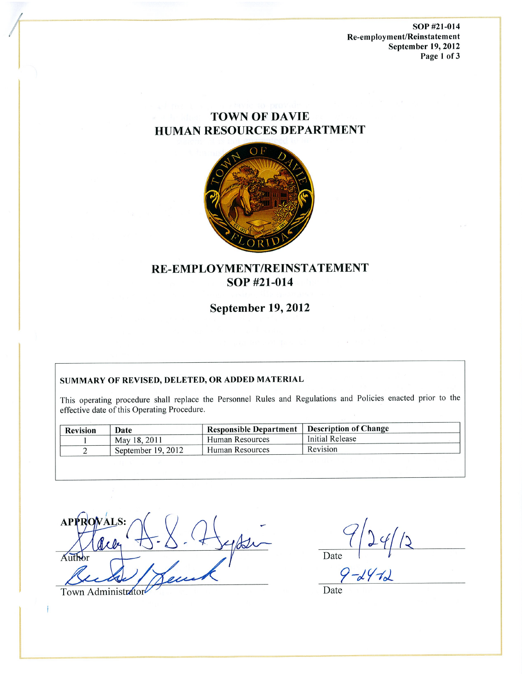SOP #21-014 Re-employment/Reinstatement September 19, 2012 Page 1 of 3

# **TOWN OF DAVIE HUMAN RESOURCES DEPARTMENT**



# RE-EMPLOYMENT/REINSTATEMENT SOP #21-014

**September 19, 2012** 

#### SUMMARY OF REVISED, DELETED, OR ADDED MATERIAL

This operating procedure shall replace the Personnel Rules and Regulations and Policies enacted prior to the effective date of this Operating Procedure.

| <b>Revision</b> | Date               | Responsible Department   Description of Change |                 |
|-----------------|--------------------|------------------------------------------------|-----------------|
|                 | May 18, 2011       | Human Resources                                | Initial Release |
|                 | September 19, 2012 | ' Human Resources                              | Revision        |

 $\chi$  or  $\rho$ Author Town Administrator

 $\frac{(1+9)}{2}$ 

Date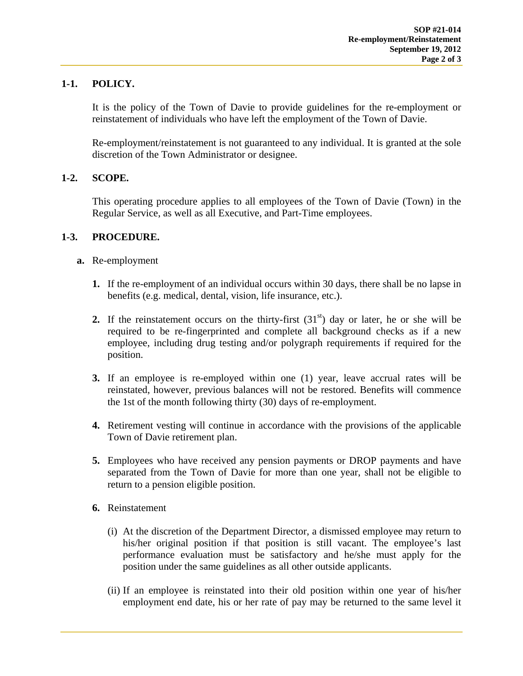## **1-1. POLICY.**

It is the policy of the Town of Davie to provide guidelines for the re-employment or reinstatement of individuals who have left the employment of the Town of Davie.

Re-employment/reinstatement is not guaranteed to any individual. It is granted at the sole discretion of the Town Administrator or designee.

## **1-2. SCOPE.**

This operating procedure applies to all employees of the Town of Davie (Town) in the Regular Service, as well as all Executive, and Part-Time employees.

## **1-3. PROCEDURE.**

- **a.** Re-employment
	- **1.** If the re-employment of an individual occurs within 30 days, there shall be no lapse in benefits (e.g. medical, dental, vision, life insurance, etc.).
	- **2.** If the reinstatement occurs on the thirty-first  $(31<sup>st</sup>)$  day or later, he or she will be required to be re-fingerprinted and complete all background checks as if a new employee, including drug testing and/or polygraph requirements if required for the position.
	- **3.** If an employee is re-employed within one (1) year, leave accrual rates will be reinstated, however, previous balances will not be restored. Benefits will commence the 1st of the month following thirty (30) days of re-employment.
	- **4.** Retirement vesting will continue in accordance with the provisions of the applicable Town of Davie retirement plan.
	- **5.** Employees who have received any pension payments or DROP payments and have separated from the Town of Davie for more than one year, shall not be eligible to return to a pension eligible position.
	- **6.** Reinstatement
		- (i) At the discretion of the Department Director, a dismissed employee may return to his/her original position if that position is still vacant. The employee's last performance evaluation must be satisfactory and he/she must apply for the position under the same guidelines as all other outside applicants.
		- (ii) If an employee is reinstated into their old position within one year of his/her employment end date, his or her rate of pay may be returned to the same level it